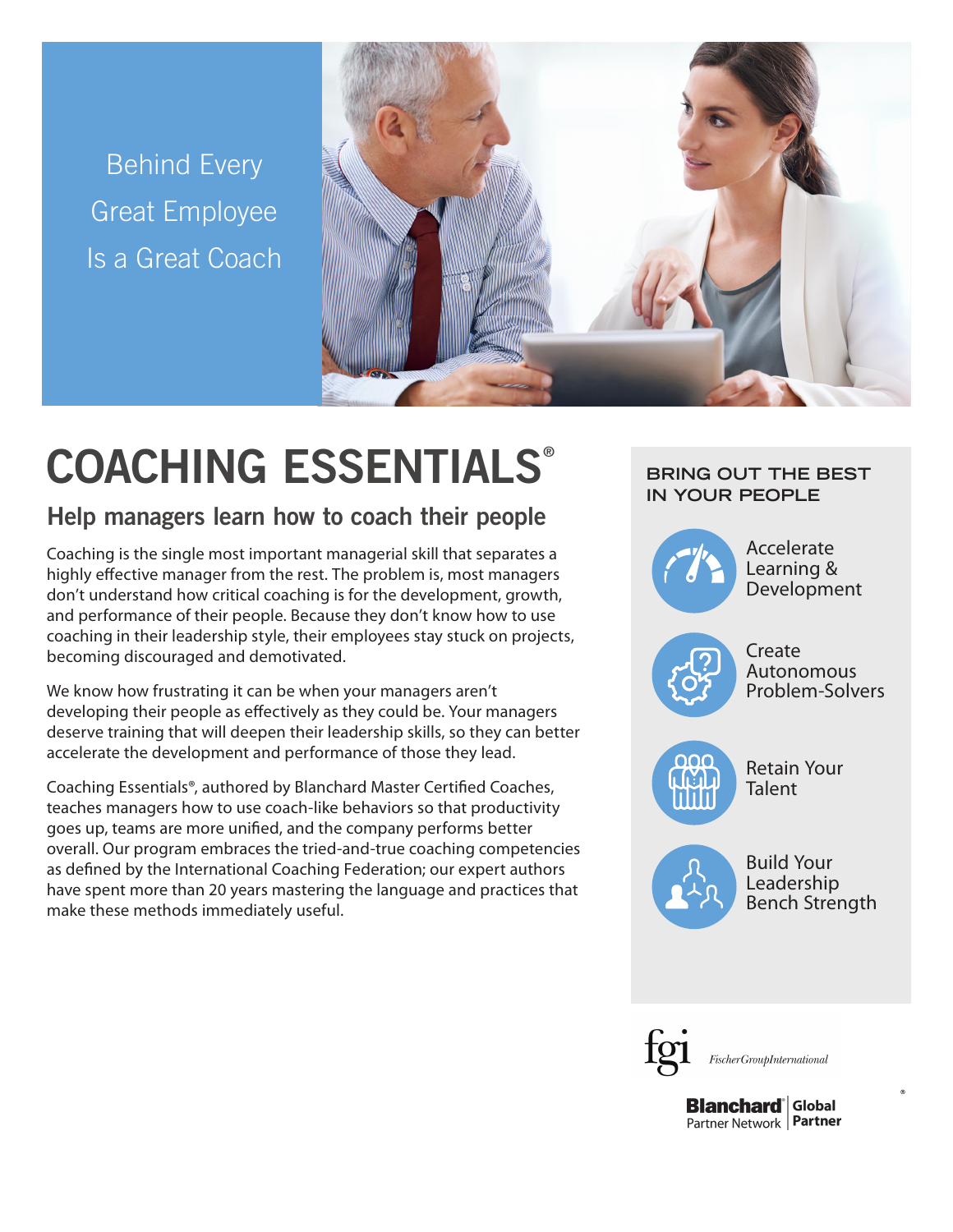Behind Every Great Employee Is a Great Coach



# COACHING ESSENTIALS®

# Help managers learn how to coach their people

Coaching is the single most important managerial skill that separates a highly effective manager from the rest. The problem is, most managers don't understand how critical coaching is for the development, growth, and performance of their people. Because they don't know how to use coaching in their leadership style, their employees stay stuck on projects, becoming discouraged and demotivated.

We know how frustrating it can be when your managers aren't developing their people as effectively as they could be. Your managers deserve training that will deepen their leadership skills, so they can better accelerate the development and performance of those they lead.

Coaching Essentials®, authored by Blanchard Master Certified Coaches, teaches managers how to use coach-like behaviors so that productivity goes up, teams are more unified, and the company performs better overall. Our program embraces the tried-and-true coaching competencies as defined by the International Coaching Federation; our expert authors have spent more than 20 years mastering the language and practices that make these methods immediately useful.